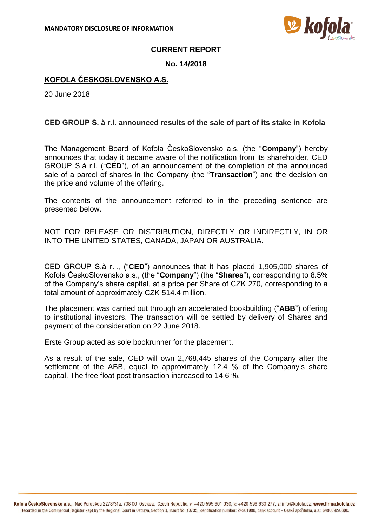

## **CURRENT REPORT**

## **No. 14/2018**

# **KOFOLA ČESKOSLOVENSKO A.S.**

20 June 2018

## **CED GROUP S. à r.l. announced results of the sale of part of its stake in Kofola**

The Management Board of Kofola ČeskoSlovensko a.s. (the "**Company**") hereby announces that today it became aware of the notification from its shareholder, CED GROUP S.à r.l. ("**CED**"), of an announcement of the completion of the announced sale of a parcel of shares in the Company (the "**Transaction**") and the decision on the price and volume of the offering.

The contents of the announcement referred to in the preceding sentence are presented below.

NOT FOR RELEASE OR DISTRIBUTION, DIRECTLY OR INDIRECTLY, IN OR INTO THE UNITED STATES, CANADA, JAPAN OR AUSTRALIA.

CED GROUP S.à r.l., ("**CED**") announces that it has placed 1,905,000 shares of Kofola ČeskoSlovensko a.s., (the "**Company**") (the "**Shares**"), corresponding to 8.5% of the Company's share capital, at a price per Share of CZK 270, corresponding to a total amount of approximately CZK 514.4 million.

The placement was carried out through an accelerated bookbuilding ("**ABB**") offering to institutional investors. The transaction will be settled by delivery of Shares and payment of the consideration on 22 June 2018.

Erste Group acted as sole bookrunner for the placement.

As a result of the sale, CED will own 2,768,445 shares of the Company after the settlement of the ABB, equal to approximately 12.4 % of the Company's share capital. The free float post transaction increased to 14.6 %.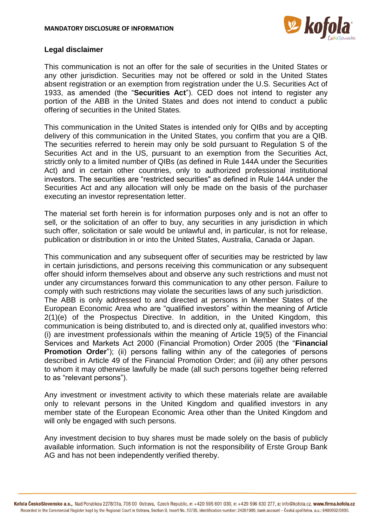

#### **Legal disclaimer**

This communication is not an offer for the sale of securities in the United States or any other jurisdiction. Securities may not be offered or sold in the United States absent registration or an exemption from registration under the U.S. Securities Act of 1933, as amended (the "**Securities Act**"). CED does not intend to register any portion of the ABB in the United States and does not intend to conduct a public offering of securities in the United States.

This communication in the United States is intended only for QIBs and by accepting delivery of this communication in the United States, you confirm that you are a QIB. The securities referred to herein may only be sold pursuant to Regulation S of the Securities Act and in the US, pursuant to an exemption from the Securities Act, strictly only to a limited number of QIBs (as defined in Rule 144A under the Securities Act) and in certain other countries, only to authorized professional institutional investors. The securities are "restricted securities" as defined in Rule 144A under the Securities Act and any allocation will only be made on the basis of the purchaser executing an investor representation letter.

The material set forth herein is for information purposes only and is not an offer to sell, or the solicitation of an offer to buy, any securities in any jurisdiction in which such offer, solicitation or sale would be unlawful and, in particular, is not for release, publication or distribution in or into the United States, Australia, Canada or Japan.

This communication and any subsequent offer of securities may be restricted by law in certain jurisdictions, and persons receiving this communication or any subsequent offer should inform themselves about and observe any such restrictions and must not under any circumstances forward this communication to any other person. Failure to comply with such restrictions may violate the securities laws of any such jurisdiction. The ABB is only addressed to and directed at persons in Member States of the European Economic Area who are "qualified investors" within the meaning of Article 2(1)(e) of the Prospectus Directive. In addition, in the United Kingdom, this communication is being distributed to, and is directed only at, qualified investors who: (i) are investment professionals within the meaning of Article 19(5) of the Financial Services and Markets Act 2000 (Financial Promotion) Order 2005 (the "**Financial Promotion Order**"); (ii) persons falling within any of the categories of persons described in Article 49 of the Financial Promotion Order; and (iii) any other persons to whom it may otherwise lawfully be made (all such persons together being referred to as "relevant persons").

Any investment or investment activity to which these materials relate are available only to relevant persons in the United Kingdom and qualified investors in any member state of the European Economic Area other than the United Kingdom and will only be engaged with such persons.

Any investment decision to buy shares must be made solely on the basis of publicly available information. Such information is not the responsibility of Erste Group Bank AG and has not been independently verified thereby.